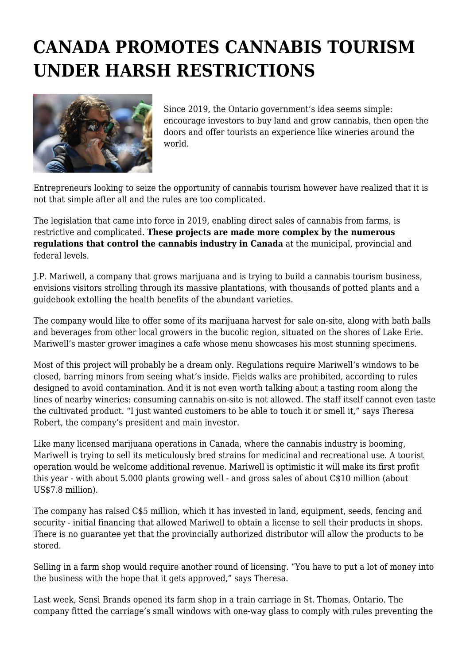## **CANADA PROMOTES CANNABIS TOURISM UNDER HARSH RESTRICTIONS**



Since 2019, the Ontario government's idea seems simple: encourage investors to buy land and grow cannabis, then open the doors and offer tourists an experience like wineries around the world.

Entrepreneurs looking to seize the opportunity of cannabis tourism however have realized that it is not that simple after all and the rules are too complicated.

The legislation that came into force in 2019, enabling direct sales of cannabis from farms, is restrictive and complicated. **These projects are made more complex by the numerous regulations that control the cannabis industry in Canada** at the municipal, provincial and federal levels.

J.P. Mariwell, a company that grows marijuana and is trying to build a cannabis tourism business, envisions visitors strolling through its massive plantations, with thousands of potted plants and a guidebook extolling the health benefits of the abundant varieties.

The company would like to offer some of its marijuana harvest for sale on-site, along with bath balls and beverages from other local growers in the bucolic region, situated on the shores of Lake Erie. Mariwell's master grower imagines a cafe whose menu showcases his most stunning specimens.

Most of this project will probably be a dream only. Regulations require Mariwell's windows to be closed, barring minors from seeing what's inside. Fields walks are prohibited, according to rules designed to avoid contamination. And it is not even worth talking about a tasting room along the lines of nearby wineries: consuming cannabis on-site is not allowed. The staff itself cannot even taste the cultivated product. "I just wanted customers to be able to touch it or smell it," says Theresa Robert, the company's president and main investor.

Like many licensed marijuana operations in Canada, where the cannabis industry is booming, Mariwell is trying to sell its meticulously bred strains for medicinal and recreational use. A tourist operation would be welcome additional revenue. Mariwell is optimistic it will make its first profit this year - with about 5.000 plants growing well - and gross sales of about C\$10 million (about US\$7.8 million).

The company has raised C\$5 million, which it has invested in land, equipment, seeds, fencing and security - initial financing that allowed Mariwell to obtain a license to sell their products in shops. There is no guarantee yet that the provincially authorized distributor will allow the products to be stored.

Selling in a farm shop would require another round of licensing. "You have to put a lot of money into the business with the hope that it gets approved," says Theresa.

Last week, Sensi Brands opened its farm shop in a train carriage in St. Thomas, Ontario. The company fitted the carriage's small windows with one-way glass to comply with rules preventing the